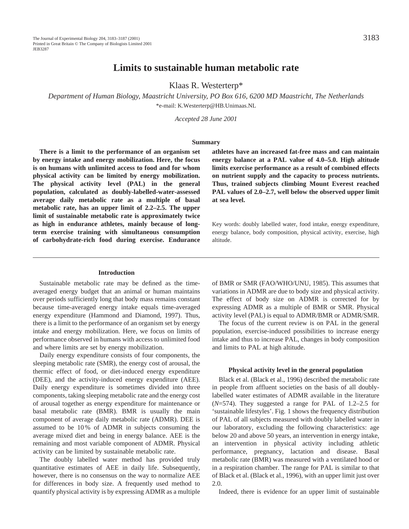# **Limits to sustainable human metabolic rate**

Klaas R. Westerterp\*

*Department of Human Biology, Maastricht University, PO Box 616, 6200 MD Maastricht, The Netherlands* \*e-mail: K.Westerterp@HB.Unimaas.NL

*Accepted 28 June 2001*

## **Summary**

**There is a limit to the performance of an organism set by energy intake and energy mobilization. Here, the focus is on humans with unlimited access to food and for whom physical activity can be limited by energy mobilization. The physical activity level (PAL) in the general population, calculated as doubly-labelled-water-assessed average daily metabolic rate as a multiple of basal metabolic rate, has an upper limit of 2.2–2.5. The upper limit of sustainable metabolic rate is approximately twice as high in endurance athletes, mainly because of longterm exercise training with simultaneous consumption of carbohydrate-rich food during exercise. Endurance**

**athletes have an increased fat-free mass and can maintain energy balance at a PAL value of 4.0–5.0. High altitude limits exercise performance as a result of combined effects on nutrient supply and the capacity to process nutrients. Thus, trained subjects climbing Mount Everest reached PAL values of 2.0–2.7, well below the observed upper limit at sea level.**

Key words: doubly labelled water, food intake, energy expenditure, energy balance, body composition, physical activity, exercise, high altitude.

#### **Introduction**

Sustainable metabolic rate may be defined as the timeaveraged energy budget that an animal or human maintains over periods sufficiently long that body mass remains constant because time-averaged energy intake equals time-averaged energy expenditure (Hammond and Diamond, 1997). Thus, there is a limit to the performance of an organism set by energy intake and energy mobilization. Here, we focus on limits of performance observed in humans with access to unlimited food and where limits are set by energy mobilization.

Daily energy expenditure consists of four components, the sleeping metabolic rate (SMR), the energy cost of arousal, the thermic effect of food, or diet-induced energy expenditure (DEE), and the activity-induced energy expenditure (AEE). Daily energy expenditure is sometimes divided into three components, taking sleeping metabolic rate and the energy cost of arousal together as energy expenditure for maintenance or basal metabolic rate (BMR). BMR is usually the main component of average daily metabolic rate (ADMR). DEE is assumed to be 10 % of ADMR in subjects consuming the average mixed diet and being in energy balance. AEE is the remaining and most variable component of ADMR. Physical activity can be limited by sustainable metabolic rate.

The doubly labelled water method has provided truly quantitative estimates of AEE in daily life. Subsequently, however, there is no consensus on the way to normalize AEE for differences in body size. A frequently used method to quantify physical activity is by expressing ADMR as a multiple of BMR or SMR (FAO/WHO/UNU, 1985). This assumes that variations in ADMR are due to body size and physical activity. The effect of body size on ADMR is corrected for by expressing ADMR as a multiple of BMR or SMR. Physical activity level (PAL) is equal to ADMR/BMR or ADMR/SMR.

The focus of the current review is on PAL in the general population, exercise-induced possibilities to increase energy intake and thus to increase PAL, changes in body composition and limits to PAL at high altitude.

## **Physical activity level in the general population**

Black et al. (Black et al., 1996) described the metabolic rate in people from affluent societies on the basis of all doublylabelled water estimates of ADMR available in the literature (*N*=574). They suggested a range for PAL of 1.2–2.5 for 'sustainable lifestyles'. Fig. 1 shows the frequency distribution of PAL of all subjects measured with doubly labelled water in our laboratory, excluding the following characteristics: age below 20 and above 50 years, an intervention in energy intake, an intervention in physical activity including athletic performance, pregnancy, lactation and disease. Basal metabolic rate (BMR) was measured with a ventilated hood or in a respiration chamber. The range for PAL is similar to that of Black et al. (Black et al., 1996), with an upper limit just over 2.0.

Indeed, there is evidence for an upper limit of sustainable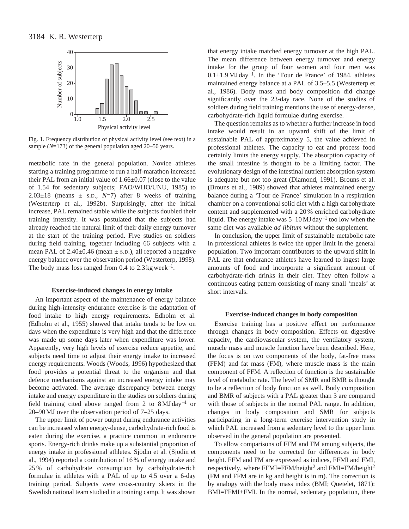

Fig. 1. Frequency distribution of physical activity level (see text) in a sample (*N*=173) of the general population aged 20–50 years.

metabolic rate in the general population. Novice athletes starting a training programme to run a half-marathon increased their PAL from an initial value of 1.66±0.07 (close to the value of 1.54 for sedentary subjects; FAO/WHO/UNU, 1985) to  $2.03\pm18$  (means  $\pm$  s.p.,  $N=7$ ) after 8 weeks of training (Westerterp et al., 1992b). Surprisingly, after the initial increase, PAL remained stable while the subjects doubled their training intensity. It was postulated that the subjects had already reached the natural limit of their daily energy turnover at the start of the training period. Five studies on soldiers during field training, together including 66 subjects with a mean PAL of  $2.40\pm0.46$  (mean  $\pm$  s.p.), all reported a negative energy balance over the observation period (Westerterp, 1998). The body mass loss ranged from 0.4 to  $2.3 \text{ kg week}^{-1}$ .

# **Exercise-induced changes in energy intake**

An important aspect of the maintenance of energy balance during high-intensity endurance exercise is the adaptation of food intake to high energy requirements. Edholm et al. (Edholm et al., 1955) showed that intake tends to be low on days when the expenditure is very high and that the difference was made up some days later when expenditure was lower. Apparently, very high levels of exercise reduce appetite, and subjects need time to adjust their energy intake to increased energy requirements. Woods (Woods, 1996) hypothesized that food provides a potential threat to the organism and that defence mechanisms against an increased energy intake may become activated. The average discrepancy between energy intake and energy expenditure in the studies on soldiers during field training cited above ranged from 2 to 8 MJ day−<sup>1</sup> or 20–90 MJ over the observation period of 7–25 days.

The upper limit of power output during endurance activities can be increased when energy-dense, carbohydrate-rich food is eaten during the exercise, a practice common in endurance sports. Energy-rich drinks make up a substantial proportion of energy intake in professional athletes. Sjödin et al. (Sjödin et al., 1994) reported a contribution of 16 % of energy intake and 25 % of carbohydrate consumption by carbohydrate-rich formulae in athletes with a PAL of up to 4.5 over a 6-day training period. Subjects were cross-country skiers in the Swedish national team studied in a training camp. It was shown

that energy intake matched energy turnover at the high PAL. The mean difference between energy turnover and energy intake for the group of four women and four men was 0.1±1.9 MJ day<sup>−</sup>1. In the 'Tour de France' of 1984, athletes maintained energy balance at a PAL of 3.5–5.5 (Westerterp et al., 1986). Body mass and body composition did change significantly over the 23-day race. None of the studies of soldiers during field training mentions the use of energy-dense, carbohydrate-rich liquid formulae during exercise.

The question remains as to whether a further increase in food intake would result in an upward shift of the limit of sustainable PAL of approximately 5, the value achieved in professional athletes. The capacity to eat and process food certainly limits the energy supply. The absorption capacity of the small intestine is thought to be a limiting factor. The evolutionary design of the intestinal nutrient absorption system is adequate but not too great (Diamond, 1991). Brouns et al. (Brouns et al., 1989) showed that athletes maintained energy balance during a 'Tour de France' simulation in a respiration chamber on a conventional solid diet with a high carbohydrate content and supplemented with a 20 % enriched carbohydrate liquid. The energy intake was 5–10 MJ day−<sup>1</sup> too low when the same diet was available *ad libitum* without the supplement.

In conclusion, the upper limit of sustainable metabolic rate in professional athletes is twice the upper limit in the general population. Two important contributors to the upward shift in PAL are that endurance athletes have learned to ingest large amounts of food and incorporate a significant amount of carbohydrate-rich drinks in their diet. They often follow a continuous eating pattern consisting of many small 'meals' at short intervals.

## **Exercise-induced changes in body composition**

Exercise training has a positive effect on performance through changes in body composition. Effects on digestive capacity, the cardiovascular system, the ventilatory system, muscle mass and muscle function have been described. Here, the focus is on two components of the body, fat-free mass (FFM) and fat mass (FM), where muscle mass is the main component of FFM. A reflection of function is the sustainable level of metabolic rate. The level of SMR and BMR is thought to be a reflection of body function as well. Body composition and BMR of subjects with a PAL greater than 3 are compared with those of subjects in the normal PAL range. In addition, changes in body composition and SMR for subjects participating in a long-term exercise intervention study in which PAL increased from a sedentary level to the upper limit observed in the general population are presented.

To allow comparisons of FFM and FM among subjects, the components need to be corrected for differences in body height. FFM and FM are expressed as indices, FFMI and FMI, respectively, where FFMI=FFM/height<sup>2</sup> and FMI=FM/height<sup>2</sup> (FM and FFM are in kg and height is in m). The correction is by analogy with the body mass index (BMI; Quetelet, 1871): BMI=FFMI+FMI. In the normal, sedentary population, there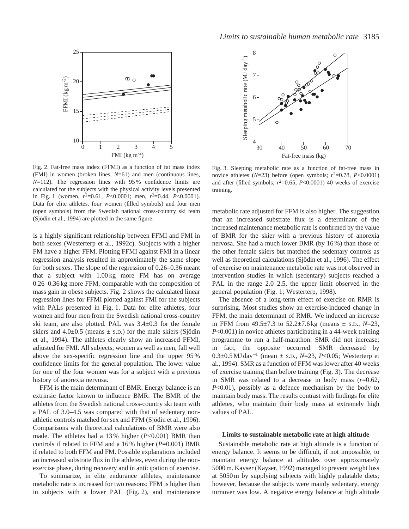

Fig. 2. Fat-free mass index (FFMI) as a function of fat mass index (FMI) in women (broken lines, *N*=61) and men (continuous lines, *N*=112). The regression lines with 95% confidence limits are calculated for the subjects with the physical activity levels presented in Fig. 1 (women,  $r^2=0.61$ ,  $P<0.0001$ ; men,  $r^2=0.44$ ,  $P<0.0001$ ). Data for elite athletes, four women (filled symbols) and four men (open symbols) from the Swedish national cross-country ski team (Sjödin et al., 1994) are plotted in the same figure.

is a highly significant relationship between FFMI and FMI in both sexes (Westerterp et al., 1992c). Subjects with a higher FM have a higher FFM. Plotting FFMI against FMI in a linear regression analysis resulted in approximately the same slope for both sexes. The slope of the regression of 0.26–0.36 meant that a subject with 1.00 kg more FM has on average 0.26–0.36 kg more FFM, comparable with the composition of mass gain in obese subjects. Fig. 2 shows the calculated linear regression lines for FFMI plotted against FMI for the subjects with PALs presented in Fig. 1. Data for elite athletes, four women and four men from the Swedish national cross-country ski team, are also plotted. PAL was 3.4±0.3 for the female skiers and  $4.0\pm0.5$  (means  $\pm$  s.D.) for the male skiers (Sjödin et al., 1994). The athletes clearly show an increased FFMI, adjusted for FMI. All subjects, women as well as men, fall well above the sex-specific regression line and the upper 95 % confidence limits for the general population. The lower value for one of the four women was for a subject with a previous history of anorexia nervosa.

FFM is the main determinant of BMR. Energy balance is an extrinsic factor known to influence BMR. The BMR of the athletes from the Swedish national cross-country ski team with a PAL of 3.0–4.5 was compared with that of sedentary nonathletic controls matched for sex and FFM (Sjödin et al., 1996). Comparisons with theoretical calculations of BMR were also made. The athletes had a 13 % higher (*P*<0.001) BMR than controls if related to FFM and a 16 % higher (*P*=0.001) BMR if related to both FFM and FM. Possible explanations included an increased substrate flux in the athletes, even during the nonexercise phase, during recovery and in anticipation of exercise.

To summarize, in elite endurance athletes, maintenance metabolic rate is increased for two reasons: FFM is higher than in subjects with a lower PAL (Fig. 2), and maintenance



Fig. 3. Sleeping metabolic rate as a function of fat-free mass in novice athletes  $(N=23)$  before (open symbols;  $r^2=0.78$ ,  $P<0.0001$ ) and after (filled symbols;  $r^2=0.65$ ,  $P<0.0001$ ) 40 weeks of exercise training.

metabolic rate adjusted for FFM is also higher. The suggestion that an increased substrate flux is a determinant of the increased maintenance metabolic rate is confirmed by the value of BMR for the skier with a previous history of anorexia nervosa. She had a much lower BMR (by 16 %) than those of the other female skiers but matched the sedentary controls as well as theoretical calculations (Sjödin et al., 1996). The effect of exercise on maintenance metabolic rate was not observed in intervention studies in which (sedentary) subjects reached a PAL in the range 2.0–2.5, the upper limit observed in the general population (Fig. 1; Westerterp, 1998).

The absence of a long-term effect of exercise on RMR is surprising. Most studies show an exercise-induced change in FFM, the main determinant of RMR. We induced an increase in FFM from 49.5±7.3 to 52.2±7.6 kg (means ± S.D., *N*=23, *P*<0.001) in novice athletes participating in a 44-week training programme to run a half-marathon. SMR did not increase; in fact, the opposite occurred: SMR decreased by 0.3±0.5 MJ day−<sup>1</sup> (mean ± S.D., *N*=23, *P*<0.05; Westerterp et al., 1994). SMR as a function of FFM was lower after 40 weeks of exercise training than before training (Fig. 3). The decrease in SMR was related to a decrease in body mass (*r*=0.62, *P*<0.01), possibly as a defence mechanism by the body to maintain body mass. The results contrast with findings for elite athletes, who maintain their body mass at extremely high values of PAL.

### **Limits to sustainable metabolic rate at high altitude**

Sustainable metabolic rate at high altitude is a function of energy balance. It seems to be difficult, if not impossible, to maintain energy balance at altitudes over approximately 5000 m. Kayser (Kayser, 1992) managed to prevent weight loss at 5050 m by supplying subjects with highly palatable diets; however, because the subjects were mainly sedentary, energy turnover was low. A negative energy balance at high altitude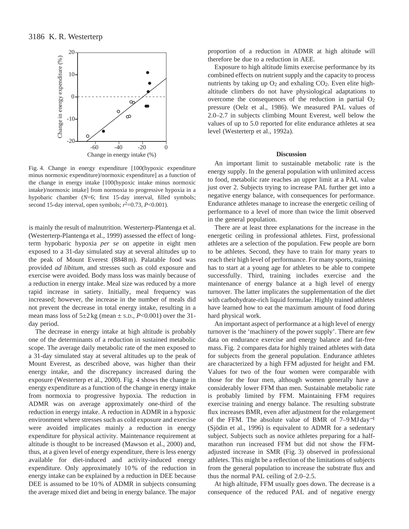

Fig. 4. Change in energy expenditure [100(hypoxic expenditure minus normoxic expenditure)/normoxic expenditure] as a function of the change in energy intake [100(hypoxic intake minus normoxic intake)/normoxic intake] from normoxia to progressive hypoxia in a hypobaric chamber (*N*=6; first 15-day interval, filled symbols; second 15-day interval, open symbols;  $r^2$ =0.73,  $P$  <0.001).

is mainly the result of malnutrition. Westerterp-Plantenga et al. (Westerterp-Plantenga et al., 1999) assessed the effect of longterm hypobaric hypoxia *per se* on appetite in eight men exposed to a 31-day simulated stay at several altitudes up to the peak of Mount Everest (8848 m). Palatable food was provided *ad libitum*, and stresses such as cold exposure and exercise were avoided. Body mass loss was mainly because of a reduction in energy intake. Meal size was reduced by a more rapid increase in satiety. Initially, meal frequency was increased; however, the increase in the number of meals did not prevent the decrease in total energy intake, resulting in a mean mass loss of  $5\pm 2$  kg (mean  $\pm$  s.D., *P*<0.001) over the 31day period.

The decrease in energy intake at high altitude is probably one of the determinants of a reduction in sustained metabolic scope. The average daily metabolic rate of the men exposed to a 31-day simulated stay at several altitudes up to the peak of Mount Everest, as described above, was higher than their energy intake, and the discrepancy increased during the exposure (Westerterp et al., 2000). Fig. 4 shows the change in energy expenditure as a function of the change in energy intake from normoxia to progressive hypoxia. The reduction in ADMR was on average approximately one-third of the reduction in energy intake. A reduction in ADMR in a hypoxic environment where stresses such as cold exposure and exercise were avoided implicates mainly a reduction in energy expenditure for physical activity. Maintenance requirement at altitude is thought to be increased (Mawson et al., 2000) and, thus, at a given level of energy expenditure, there is less energy available for diet-induced and activity-induced energy expenditure. Only approximately 10 % of the reduction in energy intake can be explained by a reduction in DEE because DEE is assumed to be 10 % of ADMR in subjects consuming the average mixed diet and being in energy balance. The major proportion of a reduction in ADMR at high altitude will therefore be due to a reduction in AEE.

Exposure to high altitude limits exercise performance by its combined effects on nutrient supply and the capacity to process nutrients by taking up  $O_2$  and exhaling  $CO_2$ . Even elite highaltitude climbers do not have physiological adaptations to overcome the consequences of the reduction in partial O2 pressure (Oelz et al., 1986). We measured PAL values of 2.0–2.7 in subjects climbing Mount Everest, well below the values of up to 5.0 reported for elite endurance athletes at sea level (Westerterp et al., 1992a).

## **Discussion**

An important limit to sustainable metabolic rate is the energy supply. In the general population with unlimited access to food, metabolic rate reaches an upper limit at a PAL value just over 2. Subjects trying to increase PAL further get into a negative energy balance, with consequences for performance. Endurance athletes manage to increase the energetic ceiling of performance to a level of more than twice the limit observed in the general population.

There are at least three explanations for the increase in the energetic ceiling in professional athletes. First, professional athletes are a selection of the population. Few people are born to be athletes. Second, they have to train for many years to reach their high level of performance. For many sports, training has to start at a young age for athletes to be able to compete successfully. Third, training includes exercise and the maintenance of energy balance at a high level of energy turnover. The latter implicates the supplementation of the diet with carbohydrate-rich liquid formulae. Highly trained athletes have learned how to eat the maximum amount of food during hard physical work.

An important aspect of performance at a high level of energy turnover is the 'machinery of the power supply'. There are few data on endurance exercise and energy balance and fat-free mass. Fig. 2 compares data for highly trained athletes with data for subjects from the general population. Endurance athletes are characterized by a high FFM adjusted for height and FM. Values for two of the four women were comparable with those for the four men, although women generally have a considerably lower FFM than men. Sustainable metabolic rate is probably limited by FFM. Maintaining FFM requires exercise training and energy balance. The resulting substrate flux increases BMR, even after adjustment for the enlargement of the FFM. The absolute value of BMR of 7–9 MJ day−<sup>1</sup> (Sjödin et al., 1996) is equivalent to ADMR for a sedentary subject. Subjects such as novice athletes preparing for a halfmarathon run increased FFM but did not show the FFMadjusted increase in SMR (Fig. 3) observed in professional athletes. This might be a reflection of the limitations of subjects from the general population to increase the substrate flux and thus the normal PAL ceiling of 2.0–2.5.

At high altitude, FFM usually goes down. The decrease is a consequence of the reduced PAL and of negative energy